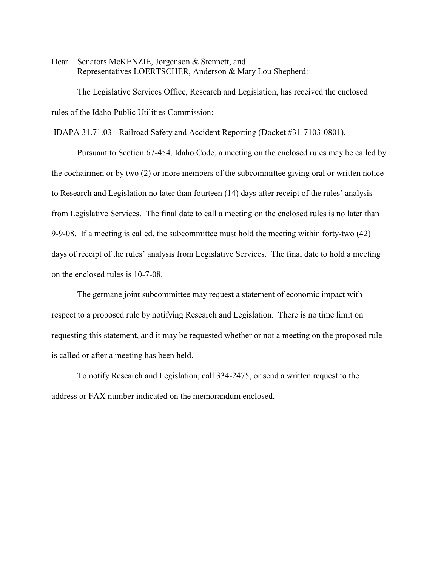Dear Senators McKENZIE, Jorgenson & Stennett, and Representatives LOERTSCHER, Anderson & Mary Lou Shepherd:

The Legislative Services Office, Research and Legislation, has received the enclosed rules of the Idaho Public Utilities Commission:

IDAPA 31.71.03 - Railroad Safety and Accident Reporting (Docket #31-7103-0801).

Pursuant to Section 67-454, Idaho Code, a meeting on the enclosed rules may be called by the cochairmen or by two (2) or more members of the subcommittee giving oral or written notice to Research and Legislation no later than fourteen (14) days after receipt of the rules' analysis from Legislative Services. The final date to call a meeting on the enclosed rules is no later than 9-9-08. If a meeting is called, the subcommittee must hold the meeting within forty-two (42) days of receipt of the rules' analysis from Legislative Services. The final date to hold a meeting on the enclosed rules is 10-7-08.

The germane joint subcommittee may request a statement of economic impact with respect to a proposed rule by notifying Research and Legislation. There is no time limit on requesting this statement, and it may be requested whether or not a meeting on the proposed rule is called or after a meeting has been held.

To notify Research and Legislation, call 334-2475, or send a written request to the address or FAX number indicated on the memorandum enclosed.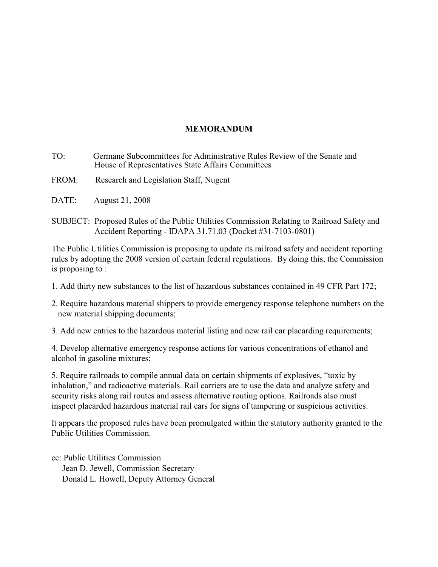# **MEMORANDUM**

- TO: Germane Subcommittees for Administrative Rules Review of the Senate and House of Representatives State Affairs Committees
- FROM: Research and Legislation Staff, Nugent
- DATE: August 21, 2008
- SUBJECT: Proposed Rules of the Public Utilities Commission Relating to Railroad Safety and Accident Reporting - IDAPA 31.71.03 (Docket #31-7103-0801)

The Public Utilities Commission is proposing to update its railroad safety and accident reporting rules by adopting the 2008 version of certain federal regulations. By doing this, the Commission is proposing to :

- 1. Add thirty new substances to the list of hazardous substances contained in 49 CFR Part 172;
- 2. Require hazardous material shippers to provide emergency response telephone numbers on the new material shipping documents;

3. Add new entries to the hazardous material listing and new rail car placarding requirements;

4. Develop alternative emergency response actions for various concentrations of ethanol and alcohol in gasoline mixtures;

5. Require railroads to compile annual data on certain shipments of explosives, "toxic by inhalation," and radioactive materials. Rail carriers are to use the data and analyze safety and security risks along rail routes and assess alternative routing options. Railroads also must inspect placarded hazardous material rail cars for signs of tampering or suspicious activities.

It appears the proposed rules have been promulgated within the statutory authority granted to the Public Utilities Commission.

cc: Public Utilities Commission Jean D. Jewell, Commission Secretary Donald L. Howell, Deputy Attorney General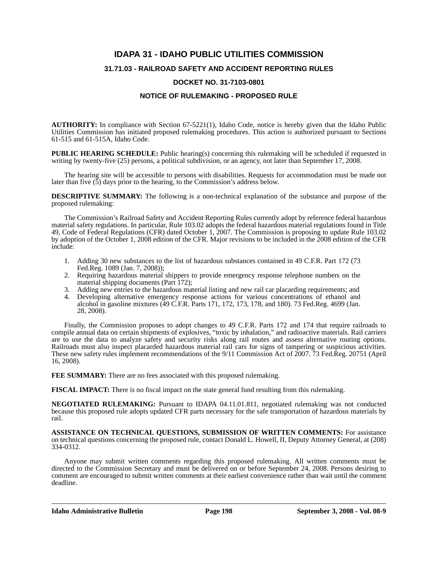# **IDAPA 31 - IDAHO PUBLIC UTILITIES COMMISSION**

## **31.71.03 - RAILROAD SAFETY AND ACCIDENT REPORTING RULES**

#### **DOCKET NO. 31-7103-0801**

### **NOTICE OF RULEMAKING - PROPOSED RULE**

**AUTHORITY:** In compliance with Section 67-5221(1), Idaho Code, notice is hereby given that the Idaho Public Utilities Commission has initiated proposed rulemaking procedures. This action is authorized pursuant to Sections 61-515 and 61-515A, Idaho Code.

**PUBLIC HEARING SCHEDULE:** Public hearing(s) concerning this rulemaking will be scheduled if requested in writing by twenty-five (25) persons, a political subdivision, or an agency, not later than September 17, 2008.

The hearing site will be accessible to persons with disabilities. Requests for accommodation must be made not later than five (5) days prior to the hearing, to the Commission's address below.

**DESCRIPTIVE SUMMARY:** The following is a non-technical explanation of the substance and purpose of the proposed rulemaking:

The Commission's Railroad Safety and Accident Reporting Rules currently adopt by reference federal hazardous material safety regulations. In particular, Rule 103.02 adopts the federal hazardous material regulations found in Title 49, Code of Federal Regulations (CFR) dated October 1, 2007. The Commission is proposing to update Rule 103.02 by adoption of the October 1, 2008 edition of the CFR. Major revisions to be included in the 2008 edition of the CFR include:

- 1. Adding 30 new substances to the list of hazardous substances contained in 49 C.F.R. Part 172 (73 Fed.Reg. 1089 (Jan. 7, 2008));
- 2. Requiring hazardous material shippers to provide emergency response telephone numbers on the material shipping documents (Part 172);
- 3. Adding new entries to the hazardous material listing and new rail car placarding requirements; and
- 4. Developing alternative emergency response actions for various concentrations of ethanol and alcohol in gasoline mixtures (49 C.F.R. Parts 171, 172, 173, 178, and 180). 73 Fed.Reg. 4699 (Jan. 28, 2008).

Finally, the Commission proposes to adopt changes to 49 C.F.R. Parts 172 and 174 that require railroads to compile annual data on certain shipments of explosives, "toxic by inhalation," and radioactive materials. Rail carriers are to use the data to analyze safety and security risks along rail routes and assess alternative routing options. Railroads must also inspect placarded hazardous material rail cars for signs of tampering or suspicious activities. These new safety rules implement recommendations of the 9/11 Commission Act of 2007. 73 Fed.Reg. 20751 (April 16, 2008).

**FEE SUMMARY:** There are no fees associated with this proposed rulemaking.

**FISCAL IMPACT:** There is no fiscal impact on the state general fund resulting from this rulemaking.

**NEGOTIATED RULEMAKING:** Pursuant to IDAPA 04.11.01.811, negotiated rulemaking was not conducted because this proposed rule adopts updated CFR parts necessary for the safe transportation of hazardous materials by rail.

**ASSISTANCE ON TECHNICAL QUESTIONS, SUBMISSION OF WRITTEN COMMENTS:** For assistance on technical questions concerning the proposed rule, contact Donald L. Howell, II, Deputy Attorney General, at (208) 334-0312.

Anyone may submit written comments regarding this proposed rulemaking. All written comments must be directed to the Commission Secretary and must be delivered on or before September 24, 2008. Persons desiring to comment are encouraged to submit written comments at their earliest convenience rather than wait until the comment deadline.